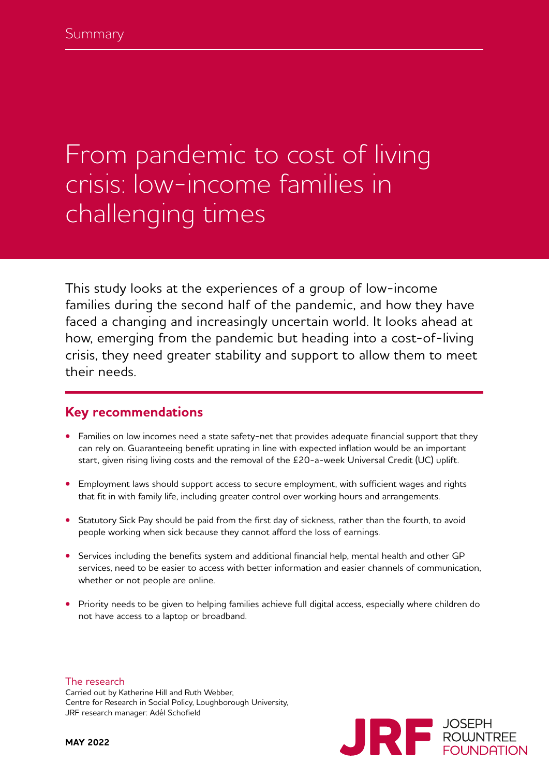# From pandemic to cost of living crisis: low-income families in challenging times

This study looks at the experiences of a group of low-income families during the second half of the pandemic, and how they have faced a changing and increasingly uncertain world. It looks ahead at how, emerging from the pandemic but heading into a cost-of-living crisis, they need greater stability and support to allow them to meet their needs.

## **Key recommendations**

- Families on low incomes need a state safety-net that provides adequate financial support that they can rely on. Guaranteeing benefit uprating in line with expected inflation would be an important start, given rising living costs and the removal of the £20-a-week Universal Credit (UC) uplift.
- **•** Employment laws should support access to secure employment, with sufficient wages and rights that fit in with family life, including greater control over working hours and arrangements.
- **•** Statutory Sick Pay should be paid from the first day of sickness, rather than the fourth, to avoid people working when sick because they cannot afford the loss of earnings.
- Services including the benefits system and additional financial help, mental health and other GP services, need to be easier to access with better information and easier channels of communication, whether or not people are online.
- **•** Priority needs to be given to helping families achieve full digital access, especially where children do not have access to a laptop or broadband.



The research

Carried out by Katherine Hill and Ruth Webber, Centre for Research in Social Policy, Loughborough University, JRF research manager: Adél Schofield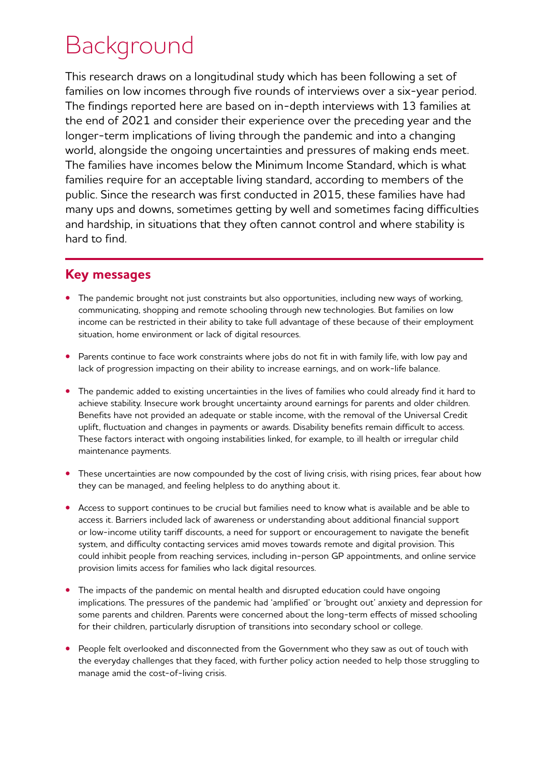# Background

This research draws on a longitudinal study which has been following a set of families on low incomes through five rounds of interviews over a six-year period. The findings reported here are based on in-depth interviews with 13 families at the end of 2021 and consider their experience over the preceding year and the longer-term implications of living through the pandemic and into a changing world, alongside the ongoing uncertainties and pressures of making ends meet. The families have incomes below the Minimum Income Standard, which is what families require for an acceptable living standard, according to members of the public. Since the research was first conducted in 2015, these families have had many ups and downs, sometimes getting by well and sometimes facing difficulties and hardship, in situations that they often cannot control and where stability is hard to find.

## **Key messages**

- The pandemic brought not just constraints but also opportunities, including new ways of working, communicating, shopping and remote schooling through new technologies. But families on low income can be restricted in their ability to take full advantage of these because of their employment situation, home environment or lack of digital resources.
- **•** Parents continue to face work constraints where jobs do not fit in with family life, with low pay and lack of progression impacting on their ability to increase earnings, and on work-life balance.
- **•** The pandemic added to existing uncertainties in the lives of families who could already find it hard to achieve stability. Insecure work brought uncertainty around earnings for parents and older children. Benefits have not provided an adequate or stable income, with the removal of the Universal Credit uplift, fluctuation and changes in payments or awards. Disability benefits remain difficult to access. These factors interact with ongoing instabilities linked, for example, to ill health or irregular child maintenance payments.
- **•** These uncertainties are now compounded by the cost of living crisis, with rising prices, fear about how they can be managed, and feeling helpless to do anything about it.
- **•** Access to support continues to be crucial but families need to know what is available and be able to access it. Barriers included lack of awareness or understanding about additional financial support or low-income utility tariff discounts, a need for support or encouragement to navigate the benefit system, and difficulty contacting services amid moves towards remote and digital provision. This could inhibit people from reaching services, including in-person GP appointments, and online service provision limits access for families who lack digital resources.
- **•** The impacts of the pandemic on mental health and disrupted education could have ongoing implications. The pressures of the pandemic had 'amplified' or 'brought out' anxiety and depression for some parents and children. Parents were concerned about the long-term effects of missed schooling for their children, particularly disruption of transitions into secondary school or college.
- **•** People felt overlooked and disconnected from the Government who they saw as out of touch with the everyday challenges that they faced, with further policy action needed to help those struggling to manage amid the cost-of-living crisis.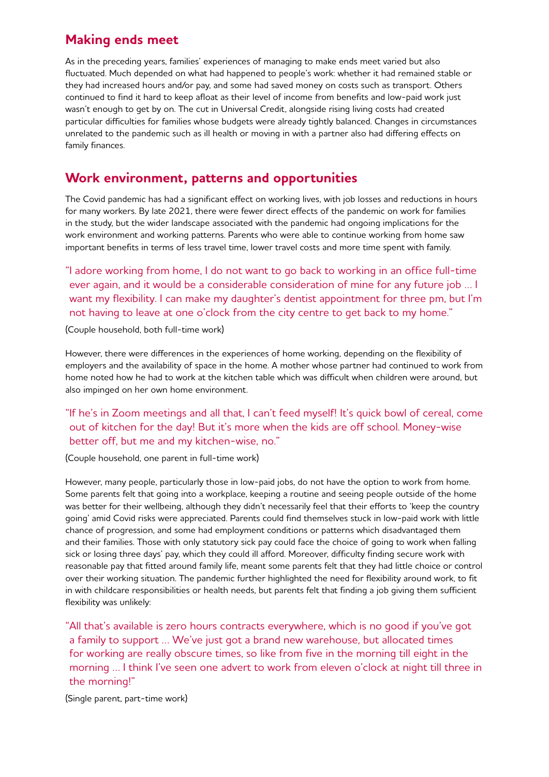## **Making ends meet**

As in the preceding years, families' experiences of managing to make ends meet varied but also fluctuated. Much depended on what had happened to people's work: whether it had remained stable or they had increased hours and/or pay, and some had saved money on costs such as transport. Others continued to find it hard to keep afloat as their level of income from benefits and low-paid work just wasn't enough to get by on. The cut in Universal Credit, alongside rising living costs had created particular difficulties for families whose budgets were already tightly balanced. Changes in circumstances unrelated to the pandemic such as ill health or moving in with a partner also had differing effects on family finances.

## **Work environment, patterns and opportunities**

The Covid pandemic has had a significant effect on working lives, with job losses and reductions in hours for many workers. By late 2021, there were fewer direct effects of the pandemic on work for families in the study, but the wider landscape associated with the pandemic had ongoing implications for the work environment and working patterns. Parents who were able to continue working from home saw important benefits in terms of less travel time, lower travel costs and more time spent with family.

"I adore working from home, I do not want to go back to working in an office full-time ever again, and it would be a considerable consideration of mine for any future job … I want my flexibility. I can make my daughter's dentist appointment for three pm, but I'm not having to leave at one o'clock from the city centre to get back to my home."

#### (Couple household, both full-time work)

However, there were differences in the experiences of home working, depending on the flexibility of employers and the availability of space in the home. A mother whose partner had continued to work from home noted how he had to work at the kitchen table which was difficult when children were around, but also impinged on her own home environment.

## "If he's in Zoom meetings and all that, I can't feed myself! It's quick bowl of cereal, come out of kitchen for the day! But it's more when the kids are off school. Money-wise better off, but me and my kitchen-wise, no."

(Couple household, one parent in full-time work)

However, many people, particularly those in low-paid jobs, do not have the option to work from home. Some parents felt that going into a workplace, keeping a routine and seeing people outside of the home was better for their wellbeing, although they didn't necessarily feel that their efforts to 'keep the country going' amid Covid risks were appreciated. Parents could find themselves stuck in low-paid work with little chance of progression, and some had employment conditions or patterns which disadvantaged them and their families. Those with only statutory sick pay could face the choice of going to work when falling sick or losing three days' pay, which they could ill afford. Moreover, difficulty finding secure work with reasonable pay that fitted around family life, meant some parents felt that they had little choice or control over their working situation. The pandemic further highlighted the need for flexibility around work, to fit in with childcare responsibilities or health needs, but parents felt that finding a job giving them sufficient flexibility was unlikely:

"All that's available is zero hours contracts everywhere, which is no good if you've got a family to support … We've just got a brand new warehouse, but allocated times for working are really obscure times, so like from five in the morning till eight in the morning … I think I've seen one advert to work from eleven o'clock at night till three in the morning!"

(Single parent, part-time work)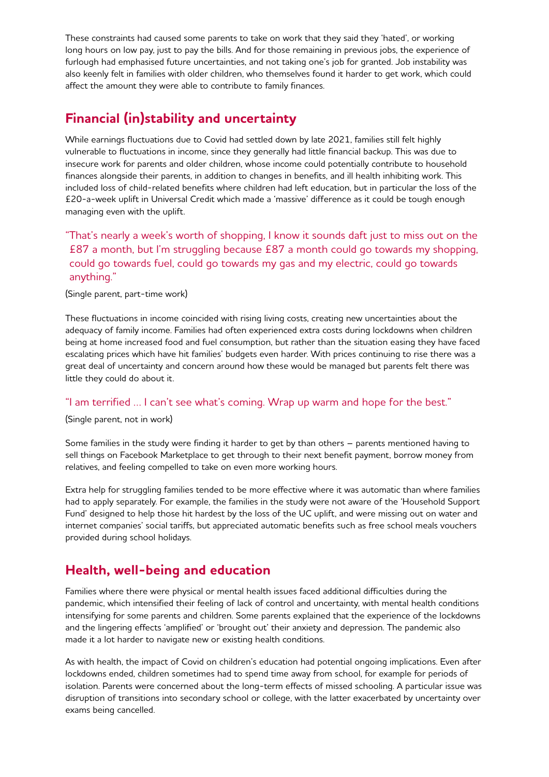These constraints had caused some parents to take on work that they said they 'hated', or working long hours on low pay, just to pay the bills. And for those remaining in previous jobs, the experience of furlough had emphasised future uncertainties, and not taking one's job for granted. Job instability was also keenly felt in families with older children, who themselves found it harder to get work, which could affect the amount they were able to contribute to family finances.

# **Financial (in)stability and uncertainty**

While earnings fluctuations due to Covid had settled down by late 2021, families still felt highly vulnerable to fluctuations in income, since they generally had little financial backup. This was due to insecure work for parents and older children, whose income could potentially contribute to household finances alongside their parents, in addition to changes in benefits, and ill health inhibiting work. This included loss of child-related benefits where children had left education, but in particular the loss of the £20-a-week uplift in Universal Credit which made a 'massive' difference as it could be tough enough managing even with the uplift.

## " That's nearly a week's worth of shopping, I know it sounds daft just to miss out on the £87 a month, but I'm struggling because £87 a month could go towards my shopping, could go towards fuel, could go towards my gas and my electric, could go towards anything."

#### (Single parent, part-time work)

These fluctuations in income coincided with rising living costs, creating new uncertainties about the adequacy of family income. Families had often experienced extra costs during lockdowns when children being at home increased food and fuel consumption, but rather than the situation easing they have faced escalating prices which have hit families' budgets even harder. With prices continuing to rise there was a great deal of uncertainty and concern around how these would be managed but parents felt there was little they could do about it.

### "I am terrified ... I can't see what's coming. Wrap up warm and hope for the best."

(Single parent, not in work)

Some families in the study were finding it harder to get by than others – parents mentioned having to sell things on Facebook Marketplace to get through to their next benefit payment, borrow money from relatives, and feeling compelled to take on even more working hours.

Extra help for struggling families tended to be more effective where it was automatic than where families had to apply separately. For example, the families in the study were not aware of the 'Household Support Fund' designed to help those hit hardest by the loss of the UC uplift, and were missing out on water and internet companies' social tariffs, but appreciated automatic benefits such as free school meals vouchers provided during school holidays.

## **Health, well-being and education**

Families where there were physical or mental health issues faced additional difficulties during the pandemic, which intensified their feeling of lack of control and uncertainty, with mental health conditions intensifying for some parents and children. Some parents explained that the experience of the lockdowns and the lingering effects 'amplified' or 'brought out' their anxiety and depression. The pandemic also made it a lot harder to navigate new or existing health conditions.

As with health, the impact of Covid on children's education had potential ongoing implications. Even after lockdowns ended, children sometimes had to spend time away from school, for example for periods of isolation. Parents were concerned about the long-term effects of missed schooling. A particular issue was disruption of transitions into secondary school or college, with the latter exacerbated by uncertainty over exams being cancelled.